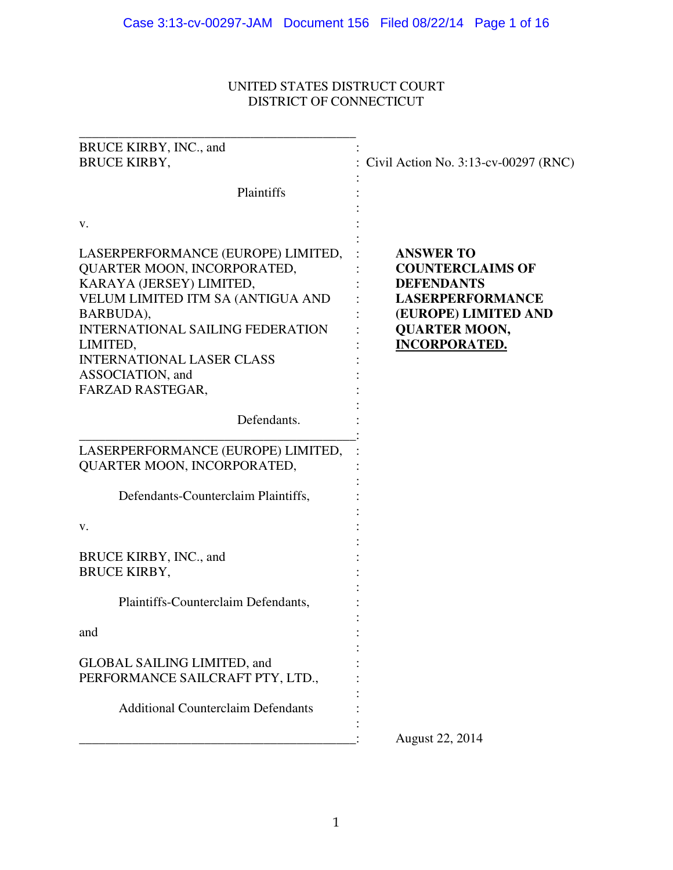# UNITED STATES DISTRUCT COURT DISTRICT OF CONNECTICUT

| BRUCE KIRBY, INC., and<br><b>BRUCE KIRBY,</b>                                                                                                                                                                                                                                                                                                                                                                                                                                                                                                                                                                                             | Civil Action No. 3:13-cv-00297 (RNC)                                                                                                                                |
|-------------------------------------------------------------------------------------------------------------------------------------------------------------------------------------------------------------------------------------------------------------------------------------------------------------------------------------------------------------------------------------------------------------------------------------------------------------------------------------------------------------------------------------------------------------------------------------------------------------------------------------------|---------------------------------------------------------------------------------------------------------------------------------------------------------------------|
| Plaintiffs                                                                                                                                                                                                                                                                                                                                                                                                                                                                                                                                                                                                                                |                                                                                                                                                                     |
| v.                                                                                                                                                                                                                                                                                                                                                                                                                                                                                                                                                                                                                                        |                                                                                                                                                                     |
| LASERPERFORMANCE (EUROPE) LIMITED,<br>QUARTER MOON, INCORPORATED,<br>KARAYA (JERSEY) LIMITED,<br>VELUM LIMITED ITM SA (ANTIGUA AND<br>BARBUDA),<br><b>INTERNATIONAL SAILING FEDERATION</b><br>LIMITED,<br><b>INTERNATIONAL LASER CLASS</b><br>ASSOCIATION, and<br>FARZAD RASTEGAR,<br>Defendants.<br>LASERPERFORMANCE (EUROPE) LIMITED,<br>QUARTER MOON, INCORPORATED,<br>Defendants-Counterclaim Plaintiffs,<br>v.<br>BRUCE KIRBY, INC., and<br><b>BRUCE KIRBY,</b><br>Plaintiffs-Counterclaim Defendants,<br>and<br><b>GLOBAL SAILING LIMITED, and</b><br>PERFORMANCE SAILCRAFT PTY, LTD.,<br><b>Additional Counterclaim Defendants</b> | <b>ANSWER TO</b><br><b>COUNTERCLAIMS OF</b><br><b>DEFENDANTS</b><br><b>LASERPERFORMANCE</b><br>(EUROPE) LIMITED AND<br><b>QUARTER MOON,</b><br><b>INCORPORATED.</b> |
|                                                                                                                                                                                                                                                                                                                                                                                                                                                                                                                                                                                                                                           | August 22, 2014                                                                                                                                                     |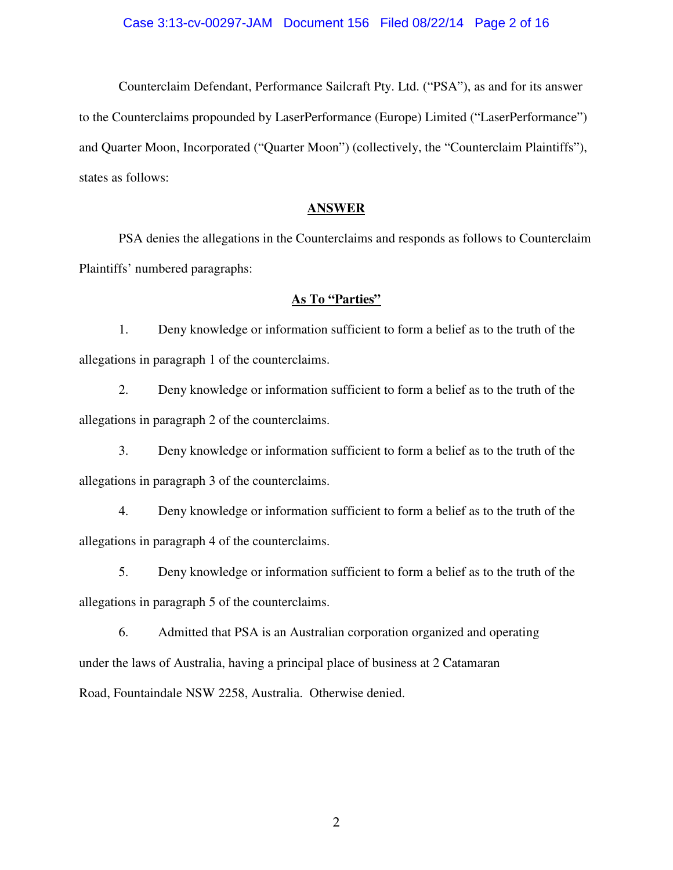Counterclaim Defendant, Performance Sailcraft Pty. Ltd. ("PSA"), as and for its answer to the Counterclaims propounded by LaserPerformance (Europe) Limited ("LaserPerformance") and Quarter Moon, Incorporated ("Quarter Moon") (collectively, the "Counterclaim Plaintiffs"), states as follows:

#### **ANSWER**

 PSA denies the allegations in the Counterclaims and responds as follows to Counterclaim Plaintiffs' numbered paragraphs:

## **As To "Parties"**

 1. Deny knowledge or information sufficient to form a belief as to the truth of the allegations in paragraph 1 of the counterclaims.

 2. Deny knowledge or information sufficient to form a belief as to the truth of the allegations in paragraph 2 of the counterclaims.

 3. Deny knowledge or information sufficient to form a belief as to the truth of the allegations in paragraph 3 of the counterclaims.

 4. Deny knowledge or information sufficient to form a belief as to the truth of the allegations in paragraph 4 of the counterclaims.

 5. Deny knowledge or information sufficient to form a belief as to the truth of the allegations in paragraph 5 of the counterclaims.

6. Admitted that PSA is an Australian corporation organized and operating under the laws of Australia, having a principal place of business at 2 Catamaran Road, Fountaindale NSW 2258, Australia. Otherwise denied.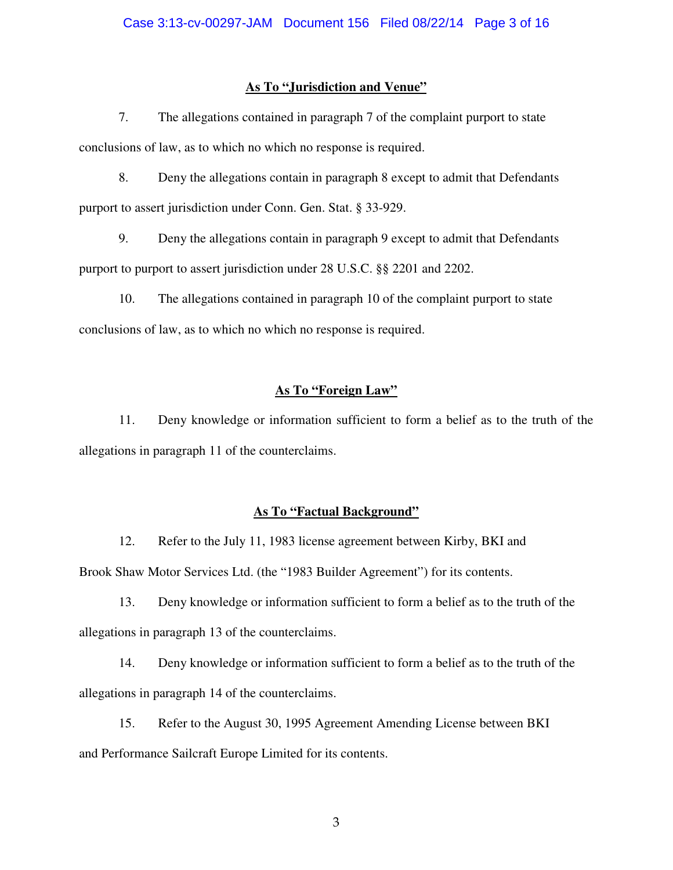### **As To "Jurisdiction and Venue"**

 7. The allegations contained in paragraph 7 of the complaint purport to state conclusions of law, as to which no which no response is required.

 8. Deny the allegations contain in paragraph 8 except to admit that Defendants purport to assert jurisdiction under Conn. Gen. Stat. § 33-929.

 9. Deny the allegations contain in paragraph 9 except to admit that Defendants purport to purport to assert jurisdiction under 28 U.S.C. §§ 2201 and 2202.

 10. The allegations contained in paragraph 10 of the complaint purport to state conclusions of law, as to which no which no response is required.

## **As To "Foreign Law"**

 11. Deny knowledge or information sufficient to form a belief as to the truth of the allegations in paragraph 11 of the counterclaims.

## **As To "Factual Background"**

 12. Refer to the July 11, 1983 license agreement between Kirby, BKI and Brook Shaw Motor Services Ltd. (the "1983 Builder Agreement") for its contents.

 13. Deny knowledge or information sufficient to form a belief as to the truth of the allegations in paragraph 13 of the counterclaims.

 14. Deny knowledge or information sufficient to form a belief as to the truth of the allegations in paragraph 14 of the counterclaims.

 15. Refer to the August 30, 1995 Agreement Amending License between BKI and Performance Sailcraft Europe Limited for its contents.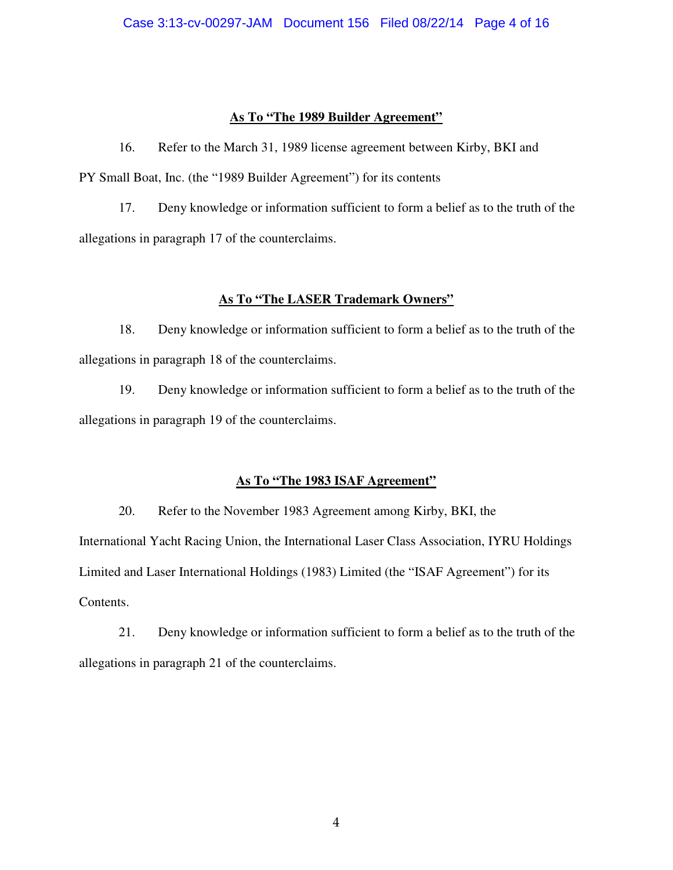## **As To "The 1989 Builder Agreement"**

16. Refer to the March 31, 1989 license agreement between Kirby, BKI and PY Small Boat, Inc. (the "1989 Builder Agreement") for its contents

 17. Deny knowledge or information sufficient to form a belief as to the truth of the allegations in paragraph 17 of the counterclaims.

## **As To "The LASER Trademark Owners"**

 18. Deny knowledge or information sufficient to form a belief as to the truth of the allegations in paragraph 18 of the counterclaims.

 19. Deny knowledge or information sufficient to form a belief as to the truth of the allegations in paragraph 19 of the counterclaims.

## **As To "The 1983 ISAF Agreement"**

 20. Refer to the November 1983 Agreement among Kirby, BKI, the International Yacht Racing Union, the International Laser Class Association, IYRU Holdings Limited and Laser International Holdings (1983) Limited (the "ISAF Agreement") for its Contents.

 21. Deny knowledge or information sufficient to form a belief as to the truth of the allegations in paragraph 21 of the counterclaims.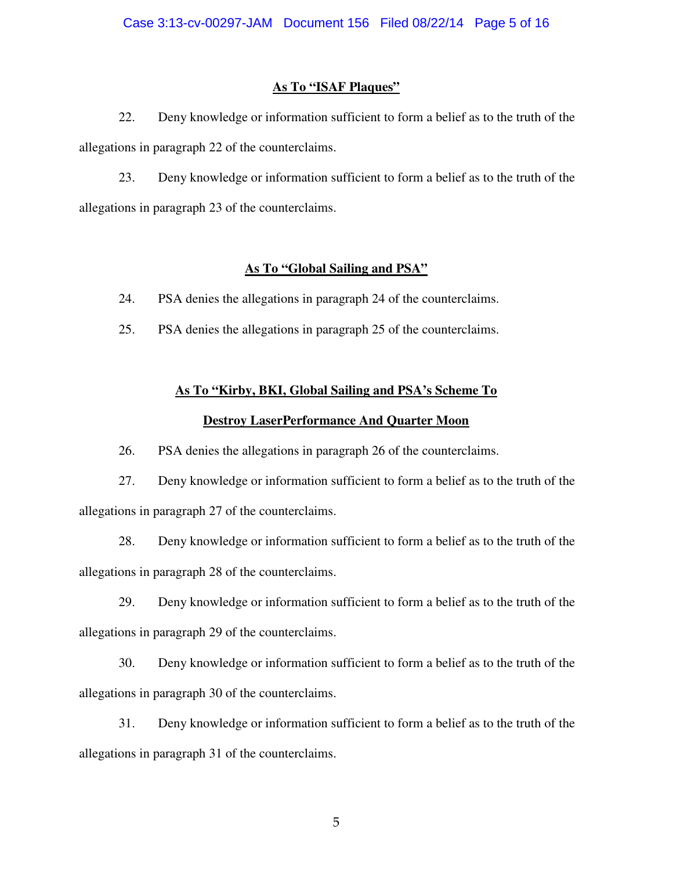## **As To "ISAF Plaques"**

 22. Deny knowledge or information sufficient to form a belief as to the truth of the allegations in paragraph 22 of the counterclaims.

 23. Deny knowledge or information sufficient to form a belief as to the truth of the allegations in paragraph 23 of the counterclaims.

## **As To "Global Sailing and PSA"**

24. PSA denies the allegations in paragraph 24 of the counterclaims.

25. PSA denies the allegations in paragraph 25 of the counterclaims.

## **As To "Kirby, BKI, Global Sailing and PSA's Scheme To**

## **Destroy LaserPerformance And Quarter Moon**

26. PSA denies the allegations in paragraph 26 of the counterclaims.

 27. Deny knowledge or information sufficient to form a belief as to the truth of the allegations in paragraph 27 of the counterclaims.

 28. Deny knowledge or information sufficient to form a belief as to the truth of the allegations in paragraph 28 of the counterclaims.

 29. Deny knowledge or information sufficient to form a belief as to the truth of the allegations in paragraph 29 of the counterclaims.

 30. Deny knowledge or information sufficient to form a belief as to the truth of the allegations in paragraph 30 of the counterclaims.

 31. Deny knowledge or information sufficient to form a belief as to the truth of the allegations in paragraph 31 of the counterclaims.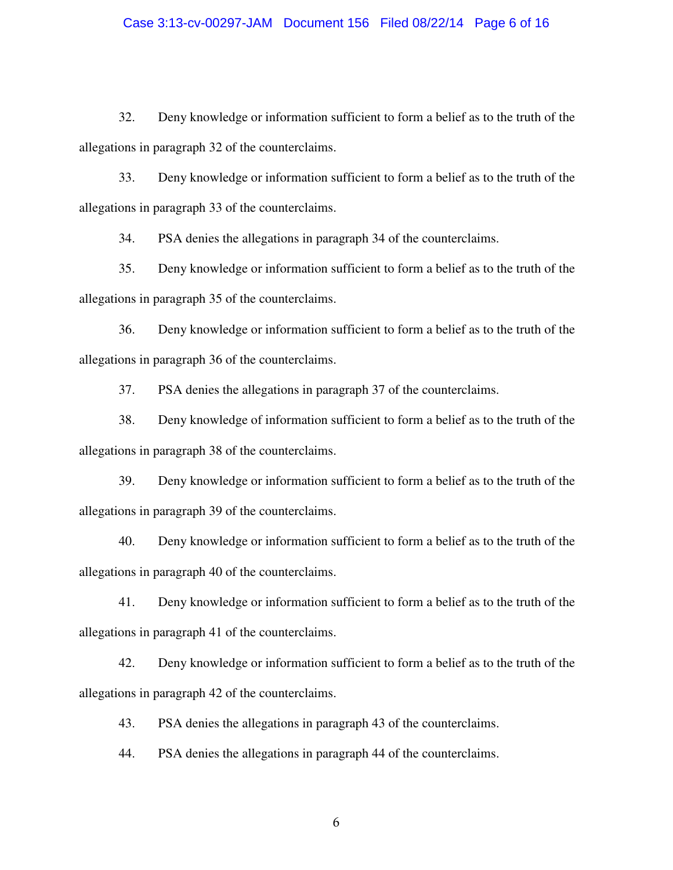#### Case 3:13-cv-00297-JAM Document 156 Filed 08/22/14 Page 6 of 16

 32. Deny knowledge or information sufficient to form a belief as to the truth of the allegations in paragraph 32 of the counterclaims.

 33. Deny knowledge or information sufficient to form a belief as to the truth of the allegations in paragraph 33 of the counterclaims.

34. PSA denies the allegations in paragraph 34 of the counterclaims.

 35. Deny knowledge or information sufficient to form a belief as to the truth of the allegations in paragraph 35 of the counterclaims.

 36. Deny knowledge or information sufficient to form a belief as to the truth of the allegations in paragraph 36 of the counterclaims.

37. PSA denies the allegations in paragraph 37 of the counterclaims.

38. Deny knowledge of information sufficient to form a belief as to the truth of the allegations in paragraph 38 of the counterclaims.

 39. Deny knowledge or information sufficient to form a belief as to the truth of the allegations in paragraph 39 of the counterclaims.

 40. Deny knowledge or information sufficient to form a belief as to the truth of the allegations in paragraph 40 of the counterclaims.

 41. Deny knowledge or information sufficient to form a belief as to the truth of the allegations in paragraph 41 of the counterclaims.

 42. Deny knowledge or information sufficient to form a belief as to the truth of the allegations in paragraph 42 of the counterclaims.

43. PSA denies the allegations in paragraph 43 of the counterclaims.

44. PSA denies the allegations in paragraph 44 of the counterclaims.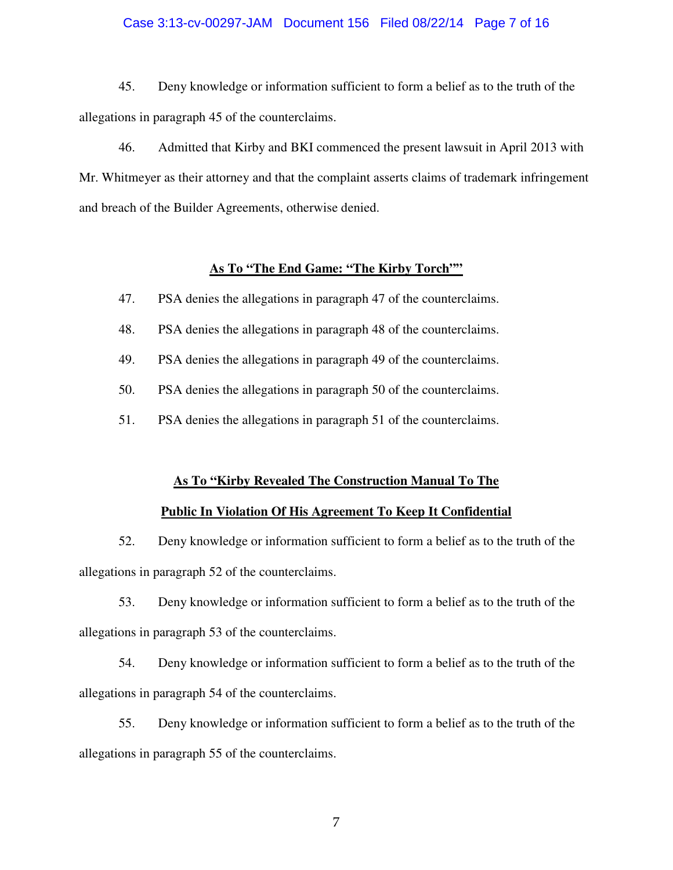#### Case 3:13-cv-00297-JAM Document 156 Filed 08/22/14 Page 7 of 16

 45. Deny knowledge or information sufficient to form a belief as to the truth of the allegations in paragraph 45 of the counterclaims.

 46. Admitted that Kirby and BKI commenced the present lawsuit in April 2013 with Mr. Whitmeyer as their attorney and that the complaint asserts claims of trademark infringement and breach of the Builder Agreements, otherwise denied.

#### **As To "The End Game: "The Kirby Torch""**

47. PSA denies the allegations in paragraph 47 of the counterclaims.

48. PSA denies the allegations in paragraph 48 of the counterclaims.

49. PSA denies the allegations in paragraph 49 of the counterclaims.

50. PSA denies the allegations in paragraph 50 of the counterclaims.

51. PSA denies the allegations in paragraph 51 of the counterclaims.

#### **As To "Kirby Revealed The Construction Manual To The**

#### **Public In Violation Of His Agreement To Keep It Confidential**

 52. Deny knowledge or information sufficient to form a belief as to the truth of the allegations in paragraph 52 of the counterclaims.

 53. Deny knowledge or information sufficient to form a belief as to the truth of the allegations in paragraph 53 of the counterclaims.

 54. Deny knowledge or information sufficient to form a belief as to the truth of the allegations in paragraph 54 of the counterclaims.

 55. Deny knowledge or information sufficient to form a belief as to the truth of the allegations in paragraph 55 of the counterclaims.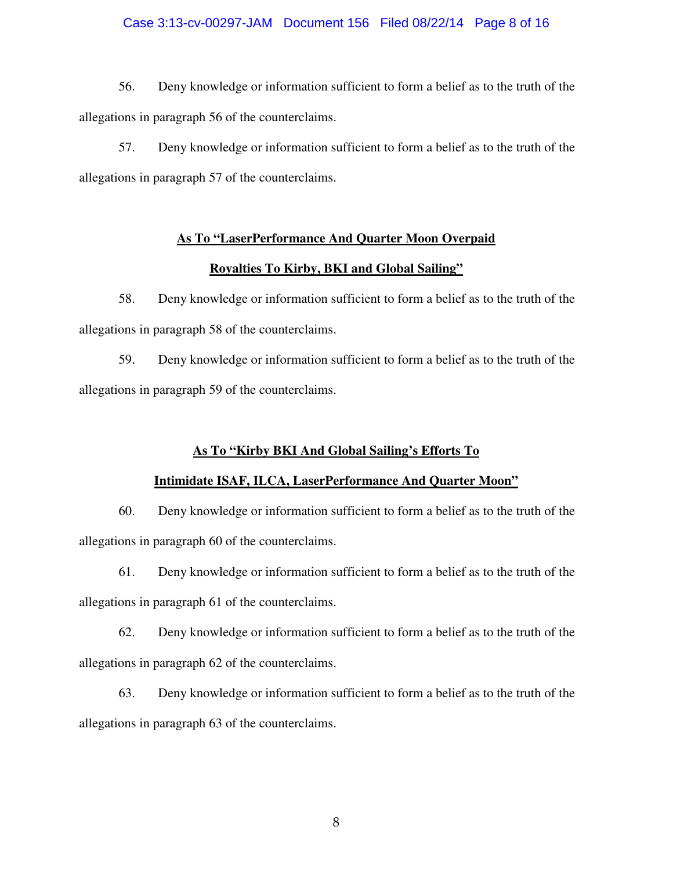#### Case 3:13-cv-00297-JAM Document 156 Filed 08/22/14 Page 8 of 16

 56. Deny knowledge or information sufficient to form a belief as to the truth of the allegations in paragraph 56 of the counterclaims.

 57. Deny knowledge or information sufficient to form a belief as to the truth of the allegations in paragraph 57 of the counterclaims.

## **As To "LaserPerformance And Quarter Moon Overpaid**

### **Royalties To Kirby, BKI and Global Sailing"**

 58. Deny knowledge or information sufficient to form a belief as to the truth of the allegations in paragraph 58 of the counterclaims.

 59. Deny knowledge or information sufficient to form a belief as to the truth of the allegations in paragraph 59 of the counterclaims.

## **As To "Kirby BKI And Global Sailing's Efforts To**

## **Intimidate ISAF, ILCA, LaserPerformance And Quarter Moon"**

 60. Deny knowledge or information sufficient to form a belief as to the truth of the allegations in paragraph 60 of the counterclaims.

 61. Deny knowledge or information sufficient to form a belief as to the truth of the allegations in paragraph 61 of the counterclaims.

 62. Deny knowledge or information sufficient to form a belief as to the truth of the allegations in paragraph 62 of the counterclaims.

 63. Deny knowledge or information sufficient to form a belief as to the truth of the allegations in paragraph 63 of the counterclaims.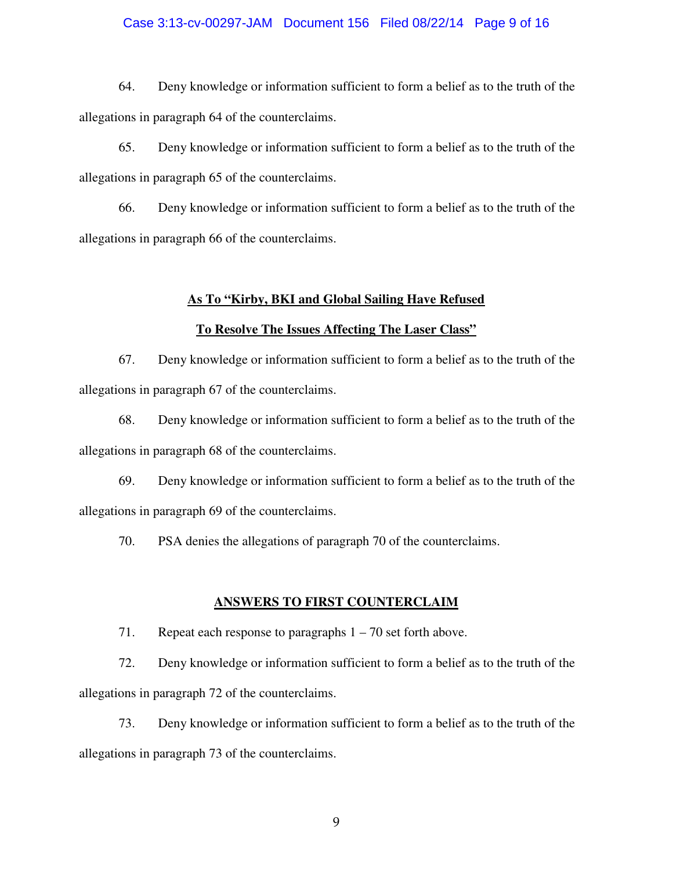#### Case 3:13-cv-00297-JAM Document 156 Filed 08/22/14 Page 9 of 16

 64. Deny knowledge or information sufficient to form a belief as to the truth of the allegations in paragraph 64 of the counterclaims.

 65. Deny knowledge or information sufficient to form a belief as to the truth of the allegations in paragraph 65 of the counterclaims.

 66. Deny knowledge or information sufficient to form a belief as to the truth of the allegations in paragraph 66 of the counterclaims.

#### **As To "Kirby, BKI and Global Sailing Have Refused**

#### **To Resolve The Issues Affecting The Laser Class"**

 67. Deny knowledge or information sufficient to form a belief as to the truth of the allegations in paragraph 67 of the counterclaims.

 68. Deny knowledge or information sufficient to form a belief as to the truth of the allegations in paragraph 68 of the counterclaims.

 69. Deny knowledge or information sufficient to form a belief as to the truth of the allegations in paragraph 69 of the counterclaims.

70. PSA denies the allegations of paragraph 70 of the counterclaims.

#### **ANSWERS TO FIRST COUNTERCLAIM**

71. Repeat each response to paragraphs 1 – 70 set forth above.

 72. Deny knowledge or information sufficient to form a belief as to the truth of the allegations in paragraph 72 of the counterclaims.

 73. Deny knowledge or information sufficient to form a belief as to the truth of the allegations in paragraph 73 of the counterclaims.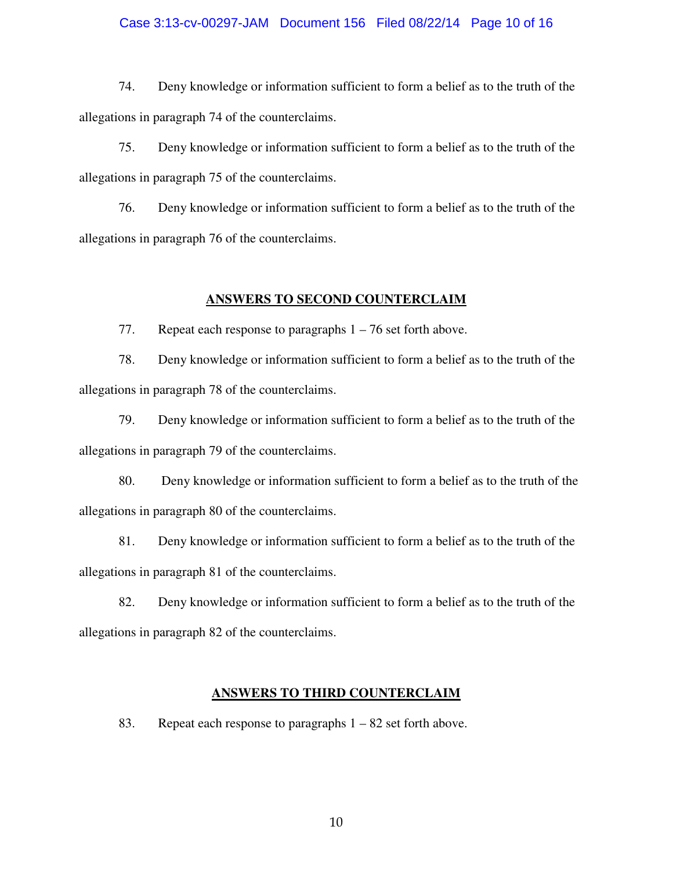#### Case 3:13-cv-00297-JAM Document 156 Filed 08/22/14 Page 10 of 16

 74. Deny knowledge or information sufficient to form a belief as to the truth of the allegations in paragraph 74 of the counterclaims.

 75. Deny knowledge or information sufficient to form a belief as to the truth of the allegations in paragraph 75 of the counterclaims.

 76. Deny knowledge or information sufficient to form a belief as to the truth of the allegations in paragraph 76 of the counterclaims.

#### **ANSWERS TO SECOND COUNTERCLAIM**

77. Repeat each response to paragraphs 1 – 76 set forth above.

 78. Deny knowledge or information sufficient to form a belief as to the truth of the allegations in paragraph 78 of the counterclaims.

 79. Deny knowledge or information sufficient to form a belief as to the truth of the allegations in paragraph 79 of the counterclaims.

 80. Deny knowledge or information sufficient to form a belief as to the truth of the allegations in paragraph 80 of the counterclaims.

 81. Deny knowledge or information sufficient to form a belief as to the truth of the allegations in paragraph 81 of the counterclaims.

 82. Deny knowledge or information sufficient to form a belief as to the truth of the allegations in paragraph 82 of the counterclaims.

#### **ANSWERS TO THIRD COUNTERCLAIM**

83. Repeat each response to paragraphs 1 – 82 set forth above.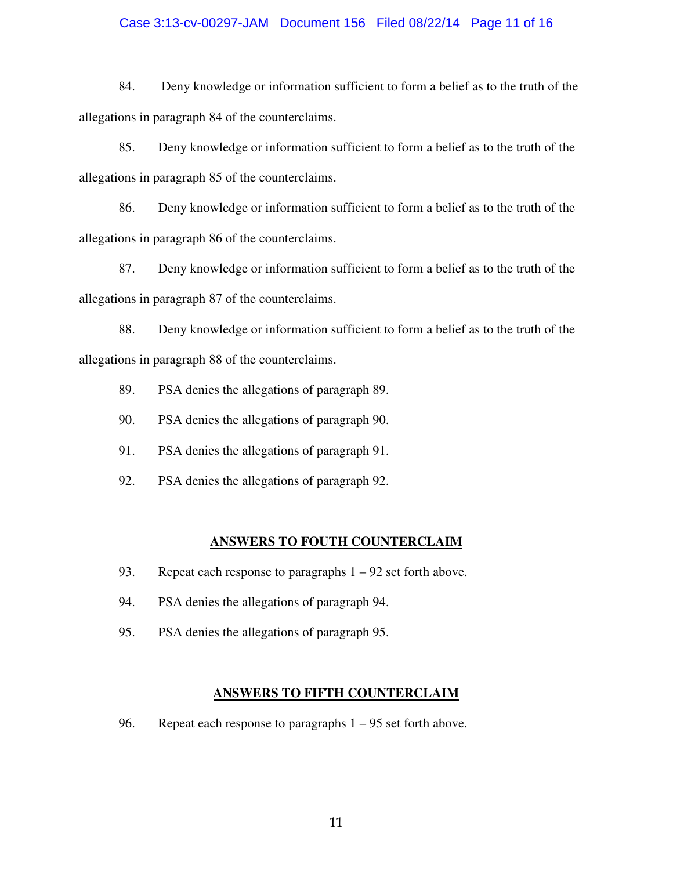#### Case 3:13-cv-00297-JAM Document 156 Filed 08/22/14 Page 11 of 16

 84. Deny knowledge or information sufficient to form a belief as to the truth of the allegations in paragraph 84 of the counterclaims.

 85. Deny knowledge or information sufficient to form a belief as to the truth of the allegations in paragraph 85 of the counterclaims.

 86. Deny knowledge or information sufficient to form a belief as to the truth of the allegations in paragraph 86 of the counterclaims.

 87. Deny knowledge or information sufficient to form a belief as to the truth of the allegations in paragraph 87 of the counterclaims.

 88. Deny knowledge or information sufficient to form a belief as to the truth of the allegations in paragraph 88 of the counterclaims.

- 89. PSA denies the allegations of paragraph 89.
- 90. PSA denies the allegations of paragraph 90.
- 91. PSA denies the allegations of paragraph 91.
- 92. PSA denies the allegations of paragraph 92.

#### **ANSWERS TO FOUTH COUNTERCLAIM**

- 93. Repeat each response to paragraphs 1 92 set forth above.
- 94. PSA denies the allegations of paragraph 94.
- 95. PSA denies the allegations of paragraph 95.

#### **ANSWERS TO FIFTH COUNTERCLAIM**

96. Repeat each response to paragraphs 1 – 95 set forth above.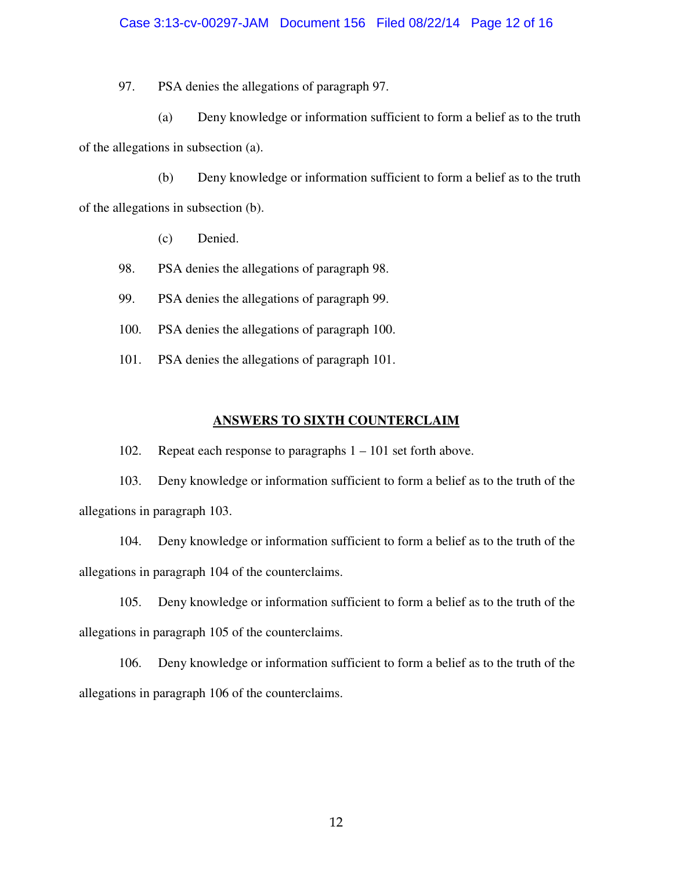#### Case 3:13-cv-00297-JAM Document 156 Filed 08/22/14 Page 12 of 16

97. PSA denies the allegations of paragraph 97.

 (a) Deny knowledge or information sufficient to form a belief as to the truth of the allegations in subsection (a).

 (b) Deny knowledge or information sufficient to form a belief as to the truth of the allegations in subsection (b).

- (c) Denied.
- 98. PSA denies the allegations of paragraph 98.
- 99. PSA denies the allegations of paragraph 99.
- 100. PSA denies the allegations of paragraph 100.
- 101. PSA denies the allegations of paragraph 101.

#### **ANSWERS TO SIXTH COUNTERCLAIM**

102. Repeat each response to paragraphs 1 – 101 set forth above.

 103. Deny knowledge or information sufficient to form a belief as to the truth of the allegations in paragraph 103.

 104. Deny knowledge or information sufficient to form a belief as to the truth of the allegations in paragraph 104 of the counterclaims.

 105. Deny knowledge or information sufficient to form a belief as to the truth of the allegations in paragraph 105 of the counterclaims.

 106. Deny knowledge or information sufficient to form a belief as to the truth of the allegations in paragraph 106 of the counterclaims.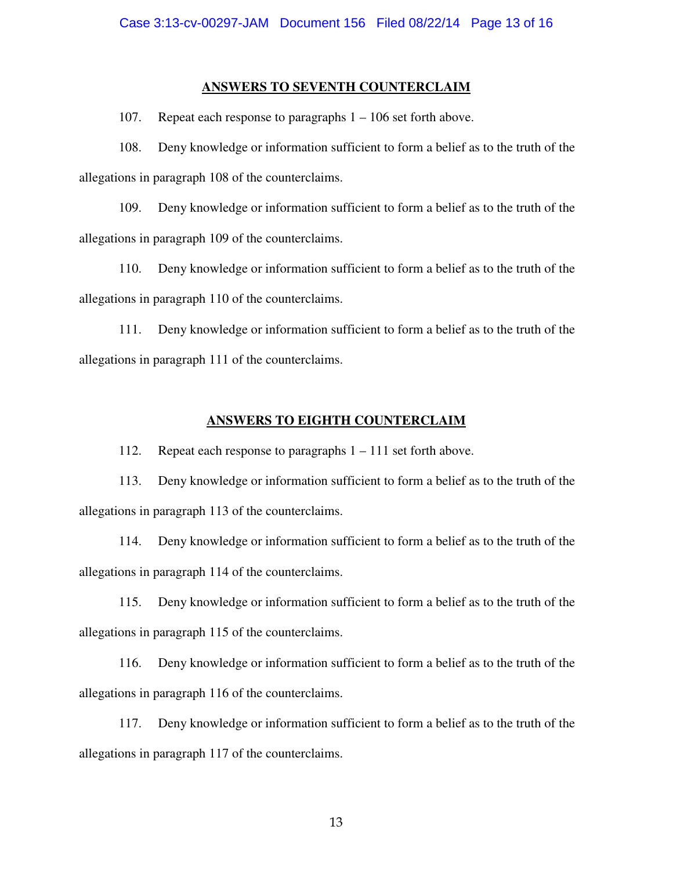#### **ANSWERS TO SEVENTH COUNTERCLAIM**

107. Repeat each response to paragraphs 1 – 106 set forth above.

 108. Deny knowledge or information sufficient to form a belief as to the truth of the allegations in paragraph 108 of the counterclaims.

 109. Deny knowledge or information sufficient to form a belief as to the truth of the allegations in paragraph 109 of the counterclaims.

 110. Deny knowledge or information sufficient to form a belief as to the truth of the allegations in paragraph 110 of the counterclaims.

 111. Deny knowledge or information sufficient to form a belief as to the truth of the allegations in paragraph 111 of the counterclaims.

#### **ANSWERS TO EIGHTH COUNTERCLAIM**

112. Repeat each response to paragraphs 1 – 111 set forth above.

 113. Deny knowledge or information sufficient to form a belief as to the truth of the allegations in paragraph 113 of the counterclaims.

 114. Deny knowledge or information sufficient to form a belief as to the truth of the allegations in paragraph 114 of the counterclaims.

 115. Deny knowledge or information sufficient to form a belief as to the truth of the allegations in paragraph 115 of the counterclaims.

 116. Deny knowledge or information sufficient to form a belief as to the truth of the allegations in paragraph 116 of the counterclaims.

 117. Deny knowledge or information sufficient to form a belief as to the truth of the allegations in paragraph 117 of the counterclaims.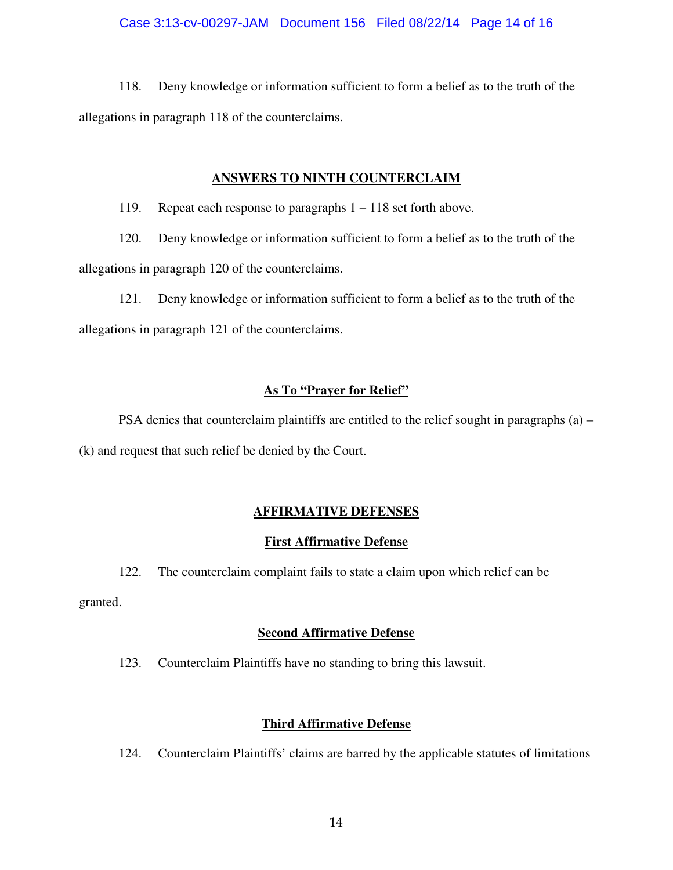118. Deny knowledge or information sufficient to form a belief as to the truth of the allegations in paragraph 118 of the counterclaims.

## **ANSWERS TO NINTH COUNTERCLAIM**

119. Repeat each response to paragraphs 1 – 118 set forth above.

 120. Deny knowledge or information sufficient to form a belief as to the truth of the allegations in paragraph 120 of the counterclaims.

 121. Deny knowledge or information sufficient to form a belief as to the truth of the allegations in paragraph 121 of the counterclaims.

# **As To "Prayer for Relief"**

PSA denies that counterclaim plaintiffs are entitled to the relief sought in paragraphs (a) – (k) and request that such relief be denied by the Court.

# **AFFIRMATIVE DEFENSES**

# **First Affirmative Defense**

122. The counterclaim complaint fails to state a claim upon which relief can be

granted.

# **Second Affirmative Defense**

123. Counterclaim Plaintiffs have no standing to bring this lawsuit.

# **Third Affirmative Defense**

124. Counterclaim Plaintiffs' claims are barred by the applicable statutes of limitations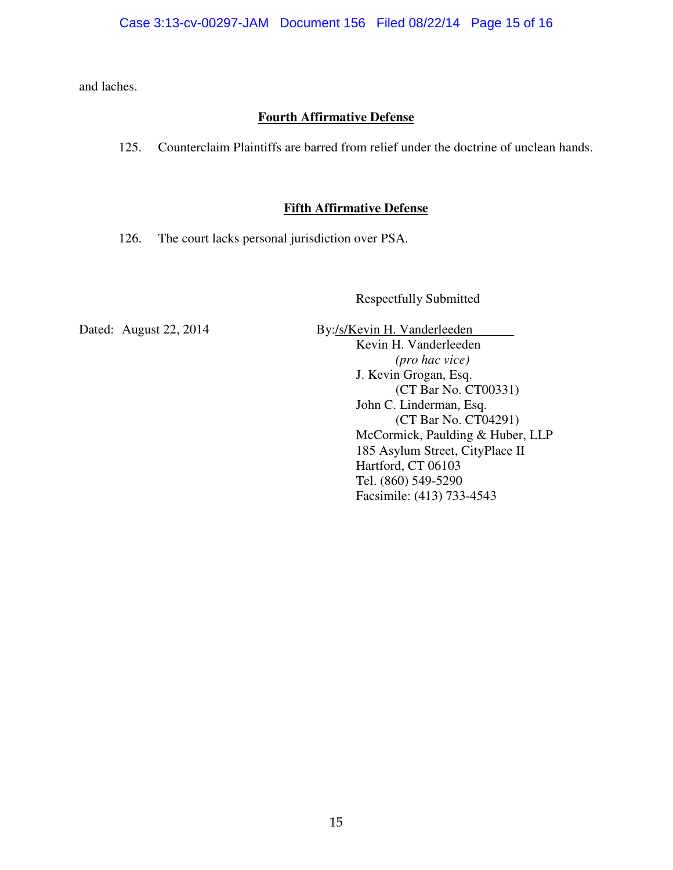and laches.

# **Fourth Affirmative Defense**

125. Counterclaim Plaintiffs are barred from relief under the doctrine of unclean hands.

# **Fifth Affirmative Defense**

126. The court lacks personal jurisdiction over PSA.

Respectfully Submitted

Dated: August 22, 2014 By:/s/Kevin H. Vanderleeden Kevin H. Vanderleeden *(pro hac vice)* J. Kevin Grogan, Esq. (CT Bar No. CT00331) John C. Linderman, Esq. (CT Bar No. CT04291) McCormick, Paulding & Huber, LLP 185 Asylum Street, CityPlace II Hartford, CT 06103 Tel. (860) 549-5290 Facsimile: (413) 733-4543